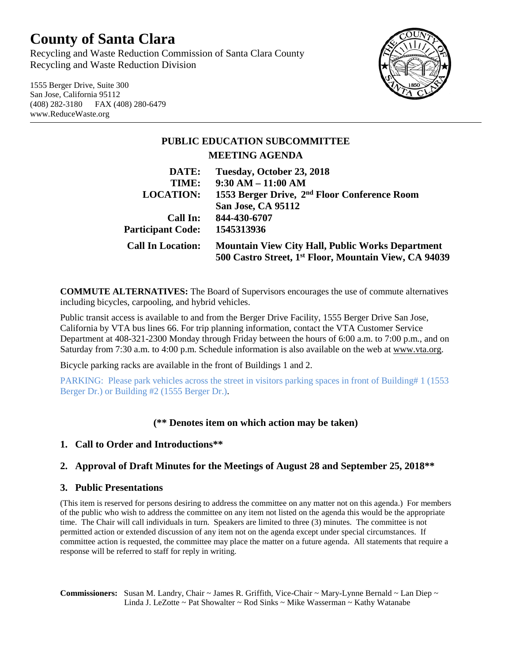# **County of Santa Clara**

Recycling and Waste Reduction Commission of Santa Clara County Recycling and Waste Reduction Division

1555 Berger Drive, Suite 300 San Jose, California 95112 (408) 282-3180 FAX (408) 280-6479 www.ReduceWaste.org



# **PUBLIC EDUCATION SUBCOMMITTEE MEETING AGENDA DATE: Tuesday, October 23, 2018 TIME: 9:30 AM – 11:00 AM LOCATION: 1553 Berger Drive, 2nd Floor Conference Room San Jose, CA 95112**

**Call In: 844-430-6707 Participant Code: 1545313936 Call In Location: Mountain View City Hall, Public Works Department 500 Castro Street, 1st Floor, Mountain View, CA 94039**

**COMMUTE ALTERNATIVES:** The Board of Supervisors encourages the use of commute alternatives including bicycles, carpooling, and hybrid vehicles.

Public transit access is available to and from the Berger Drive Facility, 1555 Berger Drive San Jose, California by VTA bus lines 66. For trip planning information, contact the VTA Customer Service Department at 408-321-2300 Monday through Friday between the hours of 6:00 a.m. to 7:00 p.m., and on Saturday from 7:30 a.m. to 4:00 p.m. Schedule information is also available on the web at [www.vta.org.](http://www.vta.org/)

Bicycle parking racks are available in the front of Buildings 1 and 2.

PARKING: Please park vehicles across the street in visitors parking spaces in front of Building# 1 (1553 Berger Dr.) or Building #2 (1555 Berger Dr.).

## **(\*\* Denotes item on which action may be taken)**

#### **1. Call to Order and Introductions\*\***

## **2. Approval of Draft Minutes for the Meetings of August 28 and September 25, 2018\*\***

#### **3. Public Presentations**

(This item is reserved for persons desiring to address the committee on any matter not on this agenda.) For members of the public who wish to address the committee on any item not listed on the agenda this would be the appropriate time. The Chair will call individuals in turn. Speakers are limited to three (3) minutes. The committee is not permitted action or extended discussion of any item not on the agenda except under special circumstances. If committee action is requested, the committee may place the matter on a future agenda. All statements that require a response will be referred to staff for reply in writing.

**Commissioners:** Susan M. Landry, Chair ~ James R. Griffith, Vice-Chair ~ Mary-Lynne Bernald ~ Lan Diep ~ Linda J. LeZotte ~ Pat Showalter ~ Rod Sinks ~ Mike Wasserman ~ Kathy Watanabe